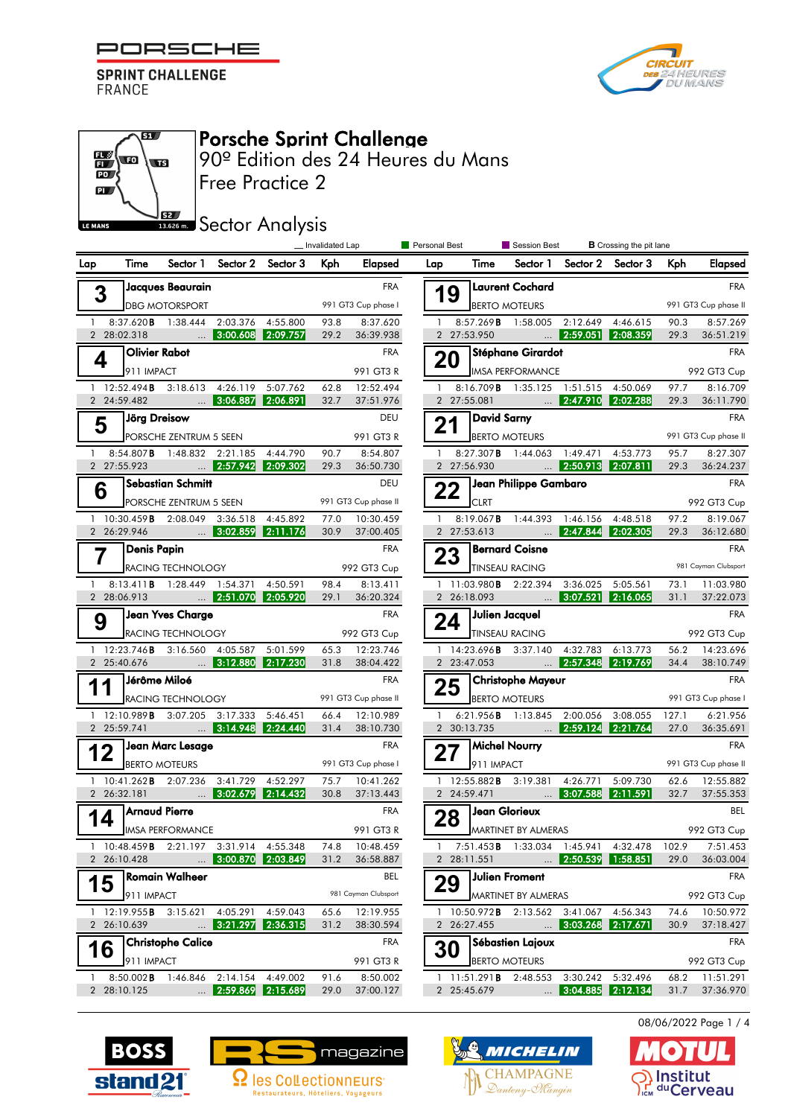





## Porsche Sprint Challenge

Free Practice 2 90º Edition des 24 Heures du Mans

**SEZ SECTOR Analysis** 

|     |                              |                                                                            |                                | _ Invalidated Lap |              |                                   | Personal Best<br>Session Best |                     | <b>B</b> Crossing the pit lane                                                                                                                       |                                |                                |               |                                 |
|-----|------------------------------|----------------------------------------------------------------------------|--------------------------------|-------------------|--------------|-----------------------------------|-------------------------------|---------------------|------------------------------------------------------------------------------------------------------------------------------------------------------|--------------------------------|--------------------------------|---------------|---------------------------------|
| Lap | Time                         |                                                                            | Sector 1 Sector 2 Sector 3 Kph |                   |              |                                   | Elapsed Lap                   | Time                |                                                                                                                                                      |                                | Sector 1 Sector 2 Sector 3 Kph |               | Elapsed                         |
|     |                              | Jacques Beaurain                                                           |                                |                   |              | <b>FRA</b>                        |                               |                     | Laurent Cochard                                                                                                                                      |                                |                                |               | <b>FRA</b>                      |
|     | 3                            | <b>DBG MOTORSPORT</b>                                                      |                                |                   |              | 991 GT3 Cup phase I               | 19                            | BERTO MOTEURS       |                                                                                                                                                      |                                |                                |               | 991 GT3 Cup phase II            |
|     |                              | 1 8:37.620 <b>B</b> 1:38.444 2:03.376 4:55.800                             |                                |                   | 93.8         | 8:37.620                          |                               |                     | 1 8:57.269 <b>B</b> 1:58.005 2:12.649 4:46.615                                                                                                       |                                |                                | 90.3          | 8:57.269                        |
|     |                              | 2 28:02.318  3:00.608 2:09.757                                             |                                |                   |              | 29.2 36:39.938                    |                               | 2 27:53.950         |                                                                                                                                                      |                                |                                |               | 29.3 36:51.219                  |
|     | 4                            | Olivier Rabot                                                              |                                |                   |              | <b>FRA</b>                        | 20                            |                     | Stéphane Girardot                                                                                                                                    |                                |                                |               | <b>FRA</b>                      |
|     | 911 IMPACT                   |                                                                            |                                |                   |              | 991 GT3 R                         |                               |                     | <b>IMSA PERFORMANCE</b>                                                                                                                              |                                |                                |               | 992 GT3 Cup                     |
|     | 2 24:59.482                  | 1 12:52.494 <b>B</b> 3:18.613 4:26.119 5:07.762                            |                                |                   | 62.8<br>32.7 | 12:52.494<br>37:51.976            |                               | 2 27:55.081         | 1 8:16.709 B 1:35.125 1:51.515 4:50.069<br><u>2:47.910 2:02.288</u> منطقة المنطقة المنطقة المنطقة المنطقة المنطقة المنطقة المنطقة المنطقة المنطقة ال |                                |                                |               | 97.7 8:16.709<br>29.3 36:11.790 |
|     |                              | Jörg Dreisow                                                               |                                |                   |              | DEU                               |                               |                     |                                                                                                                                                      |                                |                                |               | <b>FRA</b>                      |
|     | 5                            | PORSCHE ZENTRUM 5 SEEN                                                     |                                |                   |              | 991 GT3 R                         |                               | $21$ David Sarny    | <b>BERTO MOTEURS</b>                                                                                                                                 |                                |                                |               | 991 GT3 Cup phase II            |
|     |                              | 1 8:54.807 <b>B</b> 1:48.832 2:21.185 4:44.790                             |                                |                   | 90.7         | 8:54.807                          |                               |                     | 1 8:27.307 <b>B</b> 1:44.063 1:49.471 4:53.773                                                                                                       |                                |                                |               | 95.7 8:27.307                   |
|     |                              | 2 27:55.923  2:57.942 2:09.302                                             |                                |                   |              | 29.3 36:50.730                    |                               | 2 27:56.930         | $\begin{array}{ c c c c c c } \hline \quad & \quad & 2:50.913 & 2:07.811 \ \hline \end{array}$                                                       |                                |                                |               | 29.3 36:24.237                  |
|     | 6                            | Sebastian Schmitt                                                          |                                |                   |              | DEU                               |                               |                     | 22 Jean Philippe Gambaro                                                                                                                             |                                |                                |               | <b>FRA</b>                      |
|     |                              | PORSCHE ZENTRUM 5 SEEN                                                     |                                |                   |              | 991 GT3 Cup phase II              |                               | <b>CLRT</b>         |                                                                                                                                                      |                                |                                |               | 992 GT3 Cup                     |
|     |                              | 1 10:30.459 <b>B</b> 2:08.049 3:36.518 4:45.892                            |                                |                   |              | 77.0 10:30.459                    |                               |                     | 1 8:19.067 <b>B</b> 1:44.393 1:46.156 4:48.518                                                                                                       |                                |                                |               | 97.2 8:19.067                   |
|     |                              | 2 26:29.946  3:02.859 2:11.176                                             |                                |                   |              | 30.9 37:00.405                    |                               |                     | 2 27:53.613  2:47.844 2:02.305                                                                                                                       |                                |                                |               | 29.3 36:12.680                  |
|     |                              | Denis Papin                                                                |                                |                   |              | <b>FRA</b>                        |                               | 23 Bernard Coisne   |                                                                                                                                                      |                                |                                |               | FRA<br>981 Cayman Clubsport     |
|     |                              | RACING TECHNOLOGY<br>1 8:13.411 <b>B</b> 1:28.449 1:54.371 4:50.591        |                                |                   |              | 992 GT3 Cup<br>98.4 8:13.411      |                               |                     | <b>TINSEAU RACING</b><br>1 11:03.980 <b>B</b> 2:22.394 3:36.025 5:05.561                                                                             |                                |                                |               | 73.1 11:03.980                  |
|     |                              | 2 28:06.913  2:51.070 2:05.920                                             |                                |                   |              | 29.1 36:20.324                    |                               |                     | 2 26:18.093  3:07.521 2:16.065                                                                                                                       |                                |                                | 31.1          | 37:22.073                       |
|     |                              | Jean Yves Charge                                                           |                                |                   |              | <b>FRA</b>                        |                               | $24$ Julien Jacquel |                                                                                                                                                      |                                |                                |               | <b>FRA</b>                      |
|     | 9                            | <b>RACING TECHNOLOGY</b>                                                   |                                |                   |              | 992 GT3 Cup                       |                               |                     | <b>TINSEAU RACING</b>                                                                                                                                |                                |                                |               | 992 GT3 Cup                     |
|     |                              | 1 12:23.746 <b>B</b> 3:16.560 4:05.587 5:01.599                            |                                |                   |              | 65.3 12:23.746                    |                               |                     | 1 14:23.696 <b>B</b> 3:37.140 4:32.783 6:13.773                                                                                                      |                                |                                |               | 56.2 14:23.696                  |
|     |                              | 2 25:40.676  3:12.880 2:17.230                                             |                                |                   |              | 31.8 38:04.422                    |                               |                     | 2 23:47.053  2:57.348 2:19.769                                                                                                                       |                                |                                |               | 34.4 38:10.749                  |
|     | 11                           | ∫Jérôme Miloé                                                              |                                |                   |              | <b>FRA</b>                        |                               |                     | 25 Christophe Mayeur                                                                                                                                 |                                |                                |               | <b>FRA</b>                      |
|     |                              | RACING TECHNOLOGY                                                          |                                |                   |              | 991 GT3 Cup phase II              |                               |                     | <b>BERTO MOTEURS</b>                                                                                                                                 |                                |                                |               | 991 GT3 Cup phase I             |
|     |                              | 1 12:10.989 B 3:07.205 3:17.333 5:46.451<br>2 25:59.741  3:14.948 2:24.440 |                                |                   |              | 66.4 12:10.989<br>31.4 38:10.730  |                               |                     | 1 6:21.956 <b>B</b> 1:13.845 2:00.056 3:08.055<br>2 30:13.735  2:59.124 2:21.764                                                                     |                                |                                | 127.1<br>27.0 | 6:21.956<br>36:35.691           |
|     |                              | Jean Marc Lesage                                                           |                                |                   |              | <b>FRA</b>                        |                               | Michel Nourry       |                                                                                                                                                      |                                |                                |               | <b>FRA</b>                      |
|     | 12                           | BERTO MOTEURS                                                              |                                |                   |              | 991 GT3 Cup phase I               | 27                            | 911 IMPACT          |                                                                                                                                                      |                                |                                |               | 991 GT3 Cup phase II            |
|     |                              | 1 10:41.262 <b>B</b> 2:07.236 3:41.729 4:52.297                            |                                |                   | 75.7         | 10:41.262                         |                               |                     | 1 12:55.882 <b>B</b> 3:19.381 4:26.771 5:09.730                                                                                                      |                                |                                | 62.6          | 12:55.882                       |
|     | 2 26:32.181                  | $\sim$ 3:02.679 2:14.432                                                   |                                |                   |              | 30.8 37:13.443                    |                               | 2 24:59.471         | $\frac{1}{2}$ 3:07.588 2:11.591                                                                                                                      |                                |                                | 32.7          | 37:55.353                       |
|     |                              | Arnaud Pierre                                                              |                                |                   |              | <b>FRA</b>                        | 28                            | Jean Glorieux       |                                                                                                                                                      |                                |                                |               | BEL                             |
|     |                              | <b>IMSA PERFORMANCE</b>                                                    |                                |                   |              | 991 GT3 R                         |                               |                     | MARTINET BY ALMERAS                                                                                                                                  |                                |                                |               | 992 GT3 Cup                     |
|     | 1 $10:48.459B$               |                                                                            | 2:21.197 3:31.914 4:55.348     |                   | 74.8         | 10:48.459                         |                               |                     | 7:51.453 <b>B</b> 1:33.034 1:45.941 4:32.478                                                                                                         |                                |                                | 102.9         | 7:51.453                        |
|     | 2 26:10.428                  |                                                                            | 3:00.870 2:03.849              |                   | 31.2         | 36:58.887                         |                               | 2 28:11.551         |                                                                                                                                                      | $\mathbf{m}$ 2:50.539 1:58.851 |                                | 29.0          | 36:03.004                       |
|     | 15                           | Romain Walheer                                                             |                                |                   |              | BEL                               | 29                            |                     | Julien Froment                                                                                                                                       |                                |                                |               | <b>FRA</b>                      |
|     | $1 \quad 12:19.955$ <b>B</b> | 911 IMPACT<br>3:15.621                                                     | 4:05.291 4:59.043              |                   | 65.6         | 981 Cayman Clubsport<br>12:19.955 |                               |                     | MARTINET BY ALMERAS<br>1 10:50.972B 2:13.562 3:41.067 4:56.343                                                                                       |                                |                                | 74.6          | 992 GT3 Cup<br>10:50.972        |
|     | 2 26:10.639                  |                                                                            | $\ldots$ 3:21.297 2:36.315     |                   | 31.2         | 38:30.594                         |                               | 2 26:27.455         |                                                                                                                                                      | $\ldots$ 3:03.268 2:17.671     |                                | 30.9          | 37:18.427                       |
|     |                              | <b>Christophe Calice</b>                                                   |                                |                   |              | FRA                               |                               |                     | Sébastien Lajoux                                                                                                                                     |                                |                                |               | <b>FRA</b>                      |
|     | 16                           | 911 IMPACT                                                                 |                                |                   |              | 991 GT3 R                         | 30                            |                     | <b>BERTO MOTEURS</b>                                                                                                                                 |                                |                                |               | 992 GT3 Cup                     |
|     | 1 $8:50.002$ <b>B</b>        |                                                                            | 1:46.846 2:14.154 4:49.002     |                   | 91.6         | 8:50.002                          |                               |                     | 1 11:51.291 <b>B</b> 2:48.553 3:30.242 5:32.496                                                                                                      |                                |                                | 68.2          | 11:51.291                       |
|     | 2 28:10.125                  |                                                                            | $\ldots$ 2:59.869 2:15.689     |                   | 29.0         | 37:00.127                         |                               | 2 25:45.679         |                                                                                                                                                      |                                | $\ldots$ 3:04.885 2:12.134     | 31.7          | 37:36.970                       |







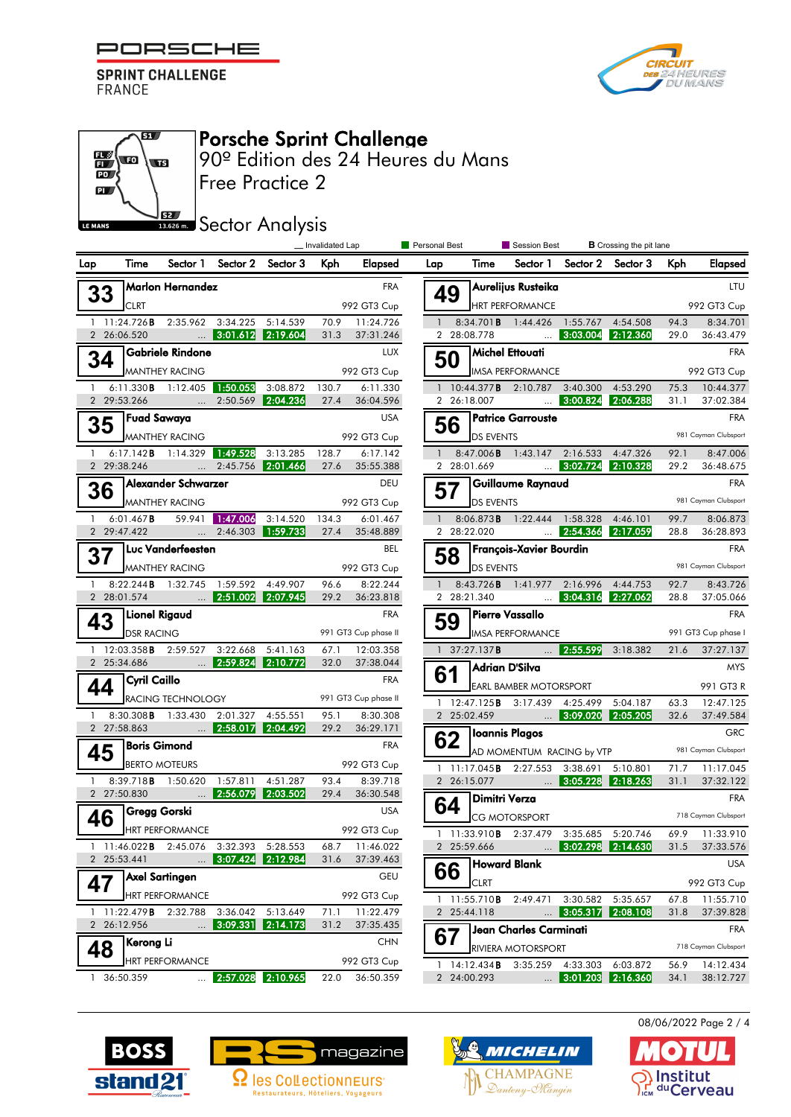



| 197<br>Œ<br>PO <sub>2</sub><br>PL <i>J</i><br><b>LE MANS</b> | $\sqrt{2}$<br>$\sqrt{15}$ | 52 <sub>2</sub>            | 90º Edition des 24 Heures du Mans                                                   | <b>Free Practice 2</b><br><b>13.626 m.</b> Sector Analysis |                                 |                              |                             |    |                  |                                                                                              |                                |                                                              |                                  |                        |
|--------------------------------------------------------------|---------------------------|----------------------------|-------------------------------------------------------------------------------------|------------------------------------------------------------|---------------------------------|------------------------------|-----------------------------|----|------------------|----------------------------------------------------------------------------------------------|--------------------------------|--------------------------------------------------------------|----------------------------------|------------------------|
| Lap                                                          | Time                      | Sector 1                   |                                                                                     | Sector 2 Sector 3                                          | _ Invalidated Lap<br><b>Kph</b> | Elapsed                      | <b>Personal Best</b><br>Lap |    | Time             | Session Best                                                                                 |                                | <b>B</b> Crossing the pit lane<br>Sector 1 Sector 2 Sector 3 | Kph                              | Elapsed                |
|                                                              |                           | <b>Marlon Hernandez</b>    |                                                                                     |                                                            |                                 | <b>FRA</b>                   |                             |    |                  | Aurelijus Rusteika                                                                           |                                |                                                              |                                  |                        |
| 33                                                           | <b>CLRT</b>               |                            |                                                                                     |                                                            |                                 | 992 GT3 Cup                  |                             | 49 |                  | <b>HRT PERFORMANCE</b>                                                                       |                                |                                                              |                                  | 992 GT3 Cup            |
|                                                              |                           |                            | 1 11:24.726 B 2:35.962 3:34.225 5:14.539                                            |                                                            | 70.9                            | 11:24.726                    |                             |    |                  | 8:34.701 <b>B</b> 1:44.426 1:55.767 4:54.508                                                 |                                |                                                              | 94.3                             | 8:34.701               |
| 2 26:06.520                                                  |                           |                            | $\sim$ 3:01.612 2:19.604                                                            |                                                            | 31.3                            | 37:31.246                    |                             |    | 2 28:08.778      | $\frac{1}{2}$ 3:03.004 2:12.360                                                              |                                |                                                              | 29.0                             | 36:43.479              |
| 34                                                           |                           | Gabriele Rindone           |                                                                                     |                                                            |                                 | <b>LUX</b>                   |                             | 50 |                  | Michel Ettouati                                                                              |                                |                                                              |                                  |                        |
|                                                              |                           | <b>MANTHEY RACING</b>      |                                                                                     |                                                            |                                 | 992 GT3 Cup                  |                             |    |                  | <b>IMSA PERFORMANCE</b>                                                                      |                                |                                                              |                                  | 992 GT3 Cup            |
| 2 29:53.266                                                  |                           |                            | 6:11.330 <b>B</b> 1:12.405 1:50.053<br>$\frac{1}{2}$ 2:50.569 <b>2:04.236</b>       | 3:08.872                                                   | 130.7<br>27.4                   | 6:11.330<br>36:04.596        |                             |    | 2 26:18.007      | 1 10:44.377 <b>B</b> 2:10.787 3:40.300 4:53.290<br>$3:00.824$ 2:06.288                       |                                |                                                              | 75.3<br>31.1                     | 10:44.377<br>37:02.384 |
|                                                              | <b>Fuad Sawaya</b>        |                            |                                                                                     |                                                            |                                 | <b>USA</b>                   |                             |    |                  | <b>Patrice Garrouste</b>                                                                     |                                |                                                              |                                  |                        |
| 35                                                           |                           | <b>MANTHEY RACING</b>      |                                                                                     |                                                            |                                 | 992 GT3 Cup                  |                             | 56 | <b>DS EVENTS</b> |                                                                                              |                                |                                                              |                                  | 981 Cayman Clubsport   |
|                                                              |                           |                            | 6:17.142 <b>B</b> 1:14.329 1:49.528                                                 | 3:13.285                                                   | 128.7                           | 6:17.142                     |                             |    |                  | 8:47.006 <b>B</b> 1:43.147 2:16.533 4:47.326                                                 |                                |                                                              | 92.1                             | 8:47.006               |
| 2 29:38.246                                                  |                           |                            | $\frac{2.45.756}{2.01.466}$                                                         |                                                            | 27.6                            | 35:55.388                    |                             |    | 2 28:01.669      |                                                                                              |                                | $3:02.724$ 2:10.328                                          | 29.2                             | 36:48.675              |
| 36                                                           |                           | Alexander Schwarzer        |                                                                                     |                                                            |                                 | DEU                          |                             | 57 |                  | Guillaume Raynaud                                                                            |                                |                                                              |                                  |                        |
|                                                              |                           | <b>MANTHEY RACING</b>      |                                                                                     |                                                            |                                 | 992 GT3 Cup                  |                             |    | <b>DS EVENTS</b> |                                                                                              |                                |                                                              |                                  | 981 Cayman Clubsport   |
| 1                                                            | $6:01.467$ B              |                            | 59.941 1:47.006                                                                     | 3:14.520                                                   | 134.3                           | 6:01.467                     |                             |    |                  | 8:06.873 <b>B</b> 1:22.444 1:58.328 4:46.101                                                 |                                |                                                              | 99.7 8:06.873                    |                        |
| 2 29:47.422                                                  |                           |                            | <b>1:59.733</b> 2:46.303 <b>1:59.733</b>                                            |                                                            |                                 | 27.4 35:48.889               |                             |    | 2 28:22.020      | $\frac{1}{2}$ .54.366 2:17.059                                                               |                                |                                                              | 28.8                             | 36:28.893              |
| 37                                                           |                           | I Luc Vanderfeesten        |                                                                                     |                                                            |                                 | BEL                          |                             | 58 |                  | François-Xavier Bourdin                                                                      |                                |                                                              |                                  |                        |
|                                                              |                           | <b>MANTHEY RACING</b>      |                                                                                     |                                                            |                                 | 992 GT3 Cup                  |                             |    | <b>DS EVENTS</b> |                                                                                              |                                |                                                              |                                  | 981 Cayman Clubsport   |
| 2 28:01.574                                                  |                           | 8:22.244 <b>B</b> 1:32.745 | 1:59.592 4:49.907<br>$\ldots$ 2:51.002 2:07.945                                     |                                                            | 96.6<br>29.2                    | 8:22.244<br>36:23.818        |                             |    | 2 28:21.340      | 8:43.726B 1:41.977 2:16.996 4:44.753<br>$3:04.316$ 2:27.062                                  |                                |                                                              | 92.7<br>28.8                     | 8:43.726<br>37:05.066  |
|                                                              | Lionel Rigaud             |                            |                                                                                     |                                                            |                                 | <b>FRA</b>                   |                             |    |                  | Pierre Vassallo                                                                              |                                |                                                              |                                  |                        |
| 43                                                           | <b>DSR RACING</b>         |                            |                                                                                     |                                                            |                                 | 991 GT3 Cup phase II         |                             | 59 |                  | <b>IMSA PERFORMANCE</b>                                                                      |                                |                                                              | 991 GT3 Cup phase I              |                        |
|                                                              |                           |                            | 1 12:03.358 <b>B</b> 2:59.527 3:22.668 5:41.163                                     |                                                            | 67.1                            | 12:03.358                    |                             |    | 1 $37:27.137B$   |                                                                                              |                                | $\ldots$ 2:55.599 3:18.382                                   | 21.6                             | 37:27.137              |
| 2 25:34.686                                                  |                           |                            | $\ldots$ 2:59.824 2:10.772                                                          |                                                            | 32.0                            | 37:38.044                    |                             |    |                  | Adrian D'Silva                                                                               |                                |                                                              |                                  |                        |
| 44                                                           | Cyril Caillo              |                            |                                                                                     |                                                            |                                 | <b>FRA</b>                   |                             | 61 |                  | <b>EARL BAMBER MOTORSPORT</b>                                                                |                                |                                                              |                                  | 991 GT3 R              |
|                                                              |                           | <b>RACING TECHNOLOGY</b>   |                                                                                     |                                                            |                                 | 991 GT3 Cup phase II         |                             |    |                  | 1 12:47.125 <b>B</b> 3:17.439 4:25.499                                                       |                                | 5:04.187                                                     | 63.3                             | 12:47.125              |
| 2 27:58.863                                                  |                           |                            | 8:30.308 <b>B</b> 1:33.430 2:01.327 4:55.551                                        |                                                            | 95.1                            | 8:30.308                     |                             |    | 2 25:02.459      | $\begin{array}{ c c c c c c } \hline \quad & \quad & 3:09.020 & 2:05.205 \hline \end{array}$ |                                |                                                              | 32.6                             | 37:49.584              |
|                                                              | Boris Gimond              |                            | $\begin{array}{ c c c c c c }\n\hline\n&2:58.017 & 2:04.492 \\ \hline\n\end{array}$ |                                                            |                                 | 29.2 36:29.171<br><b>FRA</b> |                             | 62 |                  | <b>Ioannis Plagos</b>                                                                        |                                |                                                              |                                  |                        |
| 45                                                           |                           |                            |                                                                                     |                                                            |                                 |                              |                             |    |                  | AD MOMENTUM RACING by VTP                                                                    |                                |                                                              | 981 Cayman Clubsport             |                        |
|                                                              |                           | <b>BERTO MOTEURS</b>       | 1 8:39.718 8 1:50.620 1:57.811 4:51.287                                             |                                                            | 93.4                            | 992 GT3 Cup<br>8:39.718      |                             |    | 2 26:15.077      | 1 11:17.045 <b>B</b> 2:27.553 3:38.691 5:10.801                                              |                                | $\ldots$ 3:05.228 2:18.263                                   | 71.7<br>31.1                     | 11:17.045<br>37:32.122 |
| 2 27:50.830                                                  |                           |                            | $\ldots$ 2:56.079 2:03.502                                                          |                                                            | 29.4                            | 36:30.548                    |                             |    | Dimitri Verza    |                                                                                              |                                |                                                              |                                  |                        |
| $46$ <sup>Cregg Gorski</sup>                                 |                           |                            |                                                                                     |                                                            |                                 | <b>USA</b>                   |                             | 64 |                  | <b>CG MOTORSPORT</b>                                                                         |                                |                                                              |                                  | 718 Cayman Clubsport   |
|                                                              |                           | <b>HRT PERFORMANCE</b>     |                                                                                     |                                                            |                                 | 992 GT3 Cup                  |                             |    |                  | 1 11:33.910B 2:37.479 3:35.685 5:20.746                                                      |                                |                                                              | 69.9 11:33.910                   |                        |
|                                                              |                           |                            | 1 11:46.022B 2:45.076 3:32.393 5:28.553                                             |                                                            |                                 | 68.7 11:46.022               |                             |    | 2 25:59.666      |                                                                                              |                                | $\sim$ 3:02.298 2:14.630                                     | 31.5                             | 37:33.576              |
|                                                              |                           |                            | 2 25:53.441  3:07.424 2:12.984                                                      |                                                            | 31.6                            | 37:39.463                    |                             | 66 |                  | <b>Howard Blank</b>                                                                          |                                |                                                              |                                  |                        |
| 47                                                           |                           | <b>Axel Sartingen</b>      |                                                                                     |                                                            |                                 | <b>GEU</b>                   |                             |    | <b>CLRT</b>      |                                                                                              |                                |                                                              |                                  | 992 GT3 Cup            |
|                                                              |                           | <b>HRT PERFORMANCE</b>     |                                                                                     |                                                            |                                 | 992 GT3 Cup                  |                             |    |                  | 1 11:55.710B 2:49.471 3:30.582 5:35.657                                                      |                                |                                                              | 67.8                             | 11:55.710              |
| 2 26:12.956                                                  |                           |                            | 1 11:22.479 B 2:32.788 3:36.042 5:13.649<br>$\ldots$ 3:09.331 2:14.173              |                                                            | 71.1                            | 11:22.479<br>31.2 37:35.435  |                             |    | 2 25:44.118      |                                                                                              |                                | $\ldots$ 3:05.317 2:08.108                                   | 31.8                             | 37:39.828              |
|                                                              | Kerong Li                 |                            |                                                                                     |                                                            |                                 | <b>CHN</b>                   |                             | 67 |                  | Jean Charles Carminati                                                                       |                                |                                                              |                                  |                        |
| 48                                                           |                           | HRT PERFORMANCE            |                                                                                     |                                                            |                                 | 992 GT3 Cup                  |                             |    |                  | RIVIERA MOTORSPORT                                                                           |                                |                                                              |                                  | 718 Cayman Clubsport   |
|                                                              |                           |                            |                                                                                     | $\frac{1}{2}$ 2:57.028 2:10.965                            |                                 | 22.0 36:50.359               |                             |    |                  |                                                                                              | 2 24:00.293  3:01.203 2:16.360 | 1 14:12.434 <b>B</b> 3:35.259 4:33.303 6:03.872              | 56.9 14:12.434<br>34.1 38:12.727 |                        |









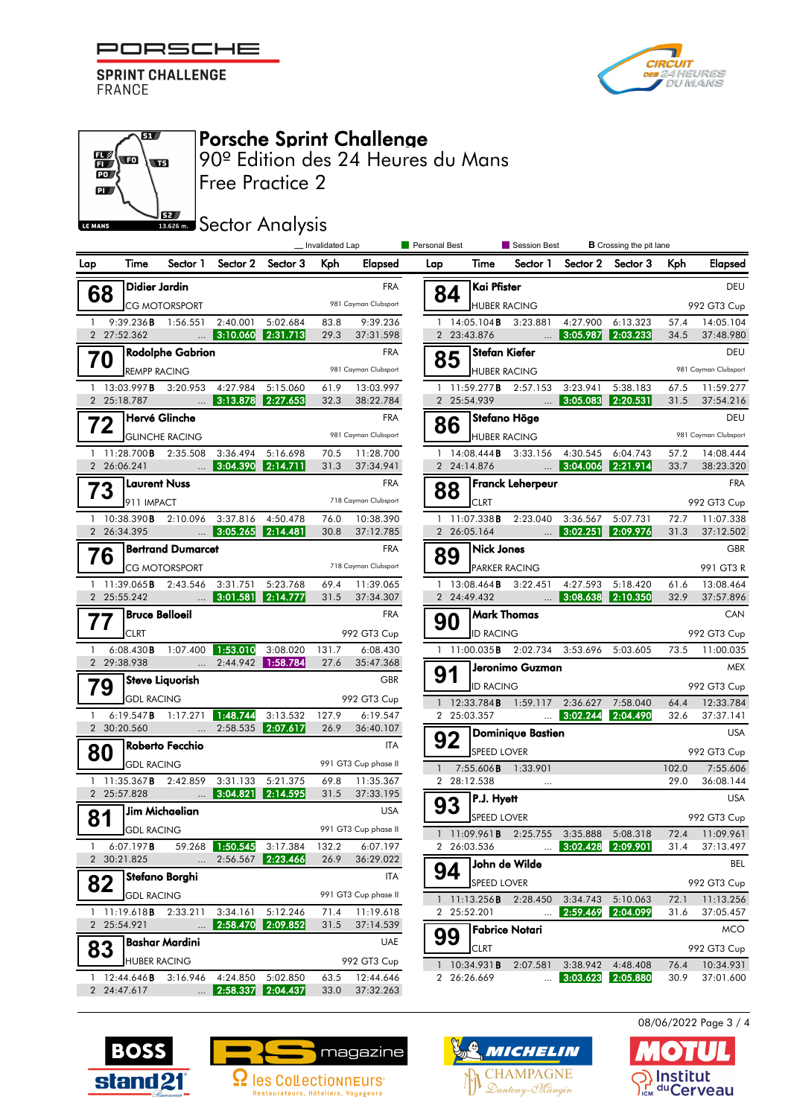

ßT.

w

**ELS** w

õï **PO** 



**B** Crossing the nit long

## Free Practice 2 **PL**  $52/$ **Bector Analysis** LE MANS **Lands** Invalidated Lap **Personal Best** Crossing Session Best Lap Time Sector 1 Sector 2 Sector 3 Kph Elapsed  $\rceil$ Didier Jardin **68 Didier Jardin** FRA FRA **CG MOTORSPORT**  1 9:39.236B 1:56.551 2:40.001 5:02.684 83.8 9:39.236 2 27:52.362 ... 3:10.060 2:31.713 29.3 37:31.598 **70** Rodolphe Gabrion<br>REMPP RACING FRA 13:03.997**B** 3:20.953 4:27.984 5:15.060 61.9 13:03.997<br>25:18.787 ... 3:13.878 2:27.658 32.3 38:22.784 2 25:18.787 ... 3:13.878 2:27.653 **72 GLINCHE RACING**<br>GLINCHE RACING <sup>981 Cayman Clubsport</sup> 11:28.700**B** 2:35.508 3:36.494 5:16.698 70.5 11:28.700<br>26:06.241 ... 8:04.690 2:14.711 31.3 37:34.941 2 26:06.241 ... 3:04.390 2:14.711 **73** Laurent Nuss<br>
PRA<br>
P11 IMPACT<br>
P18 Cayman Clubsport<br>
P18 Cayman Clubsport<br>
P18 Cayman Clubsport<br>
P18 Cayman Clubsport<br>
P18 Cayman Clubsport **Laurent Nuss** 1 10:38.390**B** 2:10.096 3:37.816 4:50.478 76.0 10:38.390<br>2 26:34.395 ... 3:05.265 2:14.481 30.8 37:12.785 2 26:34.395 ... 3:05.265 2:14.481 **76** CG MOTORSPORT 718 Cayman Clubsport 718 Cayman Clubsport  $\Box$ Bertrand Dumarcet 1 11:39.065B 2:43.546 3:31.751 5:23.768 69.4 11:39.065 2 25:55.242 ... 3:01.581 2:14.777 31.5 37:34.307 **Bruce Belloeil FRA 77 Bruce Belloeil**<br>CLRT CLRT 992 GT3 Cup 1 6:08.430B 1:07.400 1:53.010 3:08.020 131.7 6:08.430 2 29:38.938 ... 2:44.942 1:58.784 27.6 35:47.368 **79** Steve Liquorish<br>GDL RACING 992 GT3 Cup 6:19.547**B** 1:17.271 **1:48.744** 3:13.532 127.9 6:19.547<br>00:20.560 ... 2:58.535 **2:07.617** 26.9 36:40.107 2 30:20.560 ... 2:58.535 **2:07.617 80** Roberto Fecchio<br>
GDL RACING 991 GT3 Cup phase II Roberto Fecchio 1 11:35.367**B** 2:42.859 3:31.133 5:21.375 69.8 11:35.367<br>2 25:57.828 ... 3:04.821 2:14.595 31.5 37:33.195 2 25:57.828 ... 3:04.821 2:14.595 **81** Jim Michaelian USA<br>
GDL RACING 991 GT3 Cup phase II  $]$ Jim Michaelian 1 6:07.197B 59.268 1:50.545 3:17.384 132.2 6:07.197 2 30:21.825 ... 2:56.567 **2:23.466** 26.9 36:29.022 **82** Stefano Borghi<br>
GDL RACING<br> **82** GDL RACING  $\sqcap$ Stefano Borghi 1 11:19.618B 2:33.211 3:34.161 5:12.246 71.4 11:19.618 2 25:54.921 ... 2:58.470 2:09.852 31.5 37:14.539 **83** Bashar Mardini<br>
HUBER RACING 992 GT3 Cup  $\sf{l}$ Bashar Mardini 1 12:44.646B 3:16.946 4:24.850 5:02.850 63.5 12:44.646 2 24:47.617 ... 2:58.337 2:04.437 33.0 37:32.263

90º Edition des 24 Heures du Mans

Porsche Sprint Challenge

| σι ουπαι σσοι<br>Lap |    | Time                             | <b>OCOOIDII DESL</b><br>Sector 1 | Sector 2             | <b>D</b> Crossing the pit lane<br>Sector 3 | Kph                       | Elapsed                  |  |  |  |  |
|----------------------|----|----------------------------------|----------------------------------|----------------------|--------------------------------------------|---------------------------|--------------------------|--|--|--|--|
|                      |    | Kai Pfister<br>DEU               |                                  |                      |                                            |                           |                          |  |  |  |  |
|                      | 84 | <b>HUBER RACING</b>              |                                  |                      | 992 GT3 Cup                                |                           |                          |  |  |  |  |
| 1                    |    | 14:05.104 B                      | 3:23.881                         | 4:27.900             | 6:13.323                                   | 57.4                      | 14:05.104                |  |  |  |  |
| $\overline{2}$       |    | 23:43.876                        | $\cdots$                         | 3:05.987             | 2:03.233                                   | 34.5                      | 37:48.980                |  |  |  |  |
|                      |    | Stefan Kiefer                    |                                  |                      |                                            |                           | DEU                      |  |  |  |  |
|                      |    | <b>HUBER RACING</b>              |                                  |                      |                                            | 981 Cayman Clubsport      |                          |  |  |  |  |
| 1                    |    | 11:59.277B                       | 2:57.153                         | 3:23.941             | 5:38.183                                   | 67.5                      | 11:59.277                |  |  |  |  |
| $\overline{2}$       |    | 25:54.939                        |                                  |                      | $3:05.083$ 2:20.531                        | 31.5                      | 37:54.216                |  |  |  |  |
|                      | 86 | Stefano Höge                     |                                  | DEU                  |                                            |                           |                          |  |  |  |  |
|                      |    | <b>HUBER RACING</b>              |                                  |                      |                                            |                           | 981 Cayman Clubsport     |  |  |  |  |
| 1<br>$\overline{2}$  |    | 14:08.444B<br>24:14.876          | 3:33.156                         | 4:30.545<br>3:04.006 | 6:04.743<br>2:21.914                       | 14:08.444<br>57.2<br>33.7 |                          |  |  |  |  |
|                      |    |                                  | $\cdots$                         |                      |                                            |                           | 38:23.320<br><b>FRA</b>  |  |  |  |  |
|                      | 88 | Franck Leherpeur                 |                                  |                      |                                            |                           |                          |  |  |  |  |
| 1                    |    | <b>CLRT</b>                      | 11:07.338 <b>B</b> 2:23.040      |                      |                                            |                           | 992 GT3 Cup<br>11:07.338 |  |  |  |  |
| $\overline{2}$       |    | 26:05.164                        | $\ddots$                         | 3:36.567<br>3:02.251 | 5:07.731<br>2:09.976                       | 72.7<br>31.3              | 37:12.502                |  |  |  |  |
|                      | 89 | <b>Nick Jones</b>                |                                  |                      |                                            |                           | <b>GBR</b>               |  |  |  |  |
|                      |    | PARKER RACING                    |                                  |                      |                                            |                           | 991 GT3 R                |  |  |  |  |
| 1                    |    |                                  | 13:08.464 <b>B</b> 3:22.451      | 4:27.593             | 5:18.420                                   | 61.6                      | 13:08.464                |  |  |  |  |
| $\overline{2}$       |    | 24:49.432                        |                                  | 3:08.638             | 2:10.350                                   | 32.9                      | 37:57.896                |  |  |  |  |
|                      |    | <b>Mark Thomas</b><br><b>CAN</b> |                                  |                      |                                            |                           |                          |  |  |  |  |
|                      |    | <b>ID RACING</b>                 |                                  | 992 GT3 Cup          |                                            |                           |                          |  |  |  |  |
| 1                    |    |                                  | 11:00.035 <b>B</b> 2:02.734      | 3:53.696             | 5:03.605                                   | 73.5                      | 11:00.035                |  |  |  |  |
|                      |    | Jeronimo Guzman<br><b>MEX</b>    |                                  |                      |                                            |                           |                          |  |  |  |  |
|                      |    | <b>ID RACING</b>                 |                                  | 992 GT3 Cup          |                                            |                           |                          |  |  |  |  |
| 1                    |    | 12:33.784 <b>B</b>               | 1:59.117                         | 2:36.627             | 7:58.040                                   | 64.4                      | 12:33.784                |  |  |  |  |
| 2                    |    | 25:03.357                        | $\ddotsc$                        | 3:02.244             | 2:04.490                                   | 32.6                      | 37:37.141                |  |  |  |  |
|                      | 92 |                                  | <b>Dominique Bastien</b>         |                      |                                            |                           | <b>USA</b>               |  |  |  |  |
|                      |    | SPEED LOVER                      |                                  |                      |                                            |                           | 992 GT3 Cup              |  |  |  |  |
| $\mathbf{1}$         |    |                                  | 7:55.606 <b>B</b> 1:33.901       |                      |                                            | 102.0                     | 7:55.606                 |  |  |  |  |
| 2                    |    | 28:12.538                        | $\cdots$                         |                      |                                            | 29.0                      | 36:08.144                |  |  |  |  |
| 93                   |    | P.J. Hyett                       |                                  |                      |                                            |                           | <b>USA</b>               |  |  |  |  |
|                      |    | SPEED LOVER                      |                                  |                      |                                            |                           | 992 GT3 Cup              |  |  |  |  |
| 2                    |    | 26:03.536                        | 1 11:09.961 <b>B</b> 2:25.755    | 3:35.888             | 5:08.318<br>3:02.428 2:09.901              | 72.4<br>31.4              | 11:09.961<br>37:13.497   |  |  |  |  |
|                      |    |                                  |                                  |                      |                                            |                           | BEL                      |  |  |  |  |
|                      |    | John de Wilde<br>SPEED LOVER     |                                  |                      |                                            |                           |                          |  |  |  |  |
|                      |    |                                  | 2:28.450                         | 3:34.743             |                                            |                           | 992 GT3 Cup              |  |  |  |  |
| 1<br>$\overline{2}$  |    | 11:13.256B<br>25:52.201          |                                  | 2:59.469             | 5:10.063<br>2:04.099                       | 72.1<br>31.6              | 11:13.256<br>37:05.457   |  |  |  |  |
|                      |    |                                  | Fabrice Notari                   |                      |                                            |                           | MCO                      |  |  |  |  |
|                      |    | CLRT                             |                                  |                      |                                            |                           | 992 GT3 Cup              |  |  |  |  |
| 1                    |    | 10:34.931B                       | 2:07.581                         | 3:38.942             | 4:48.408                                   | 76.4                      | 10:34.931                |  |  |  |  |
| 2                    |    | 26:26.669                        |                                  | 3:03.623             | 2:05.880                                   | 30.9                      | 37:01.600                |  |  |  |  |